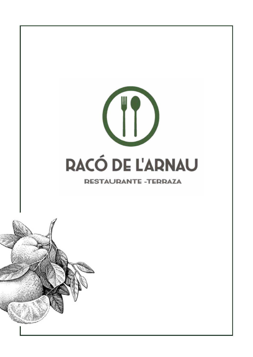

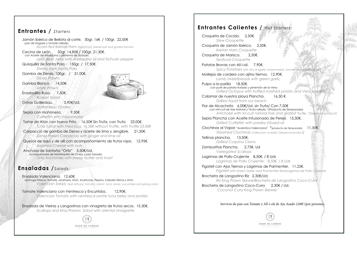Calamar de nuestra playa Plancha. 16,50 €. *Grilled Squid from our beach*

#### **Entrantes /** *Starters* Jamón Ibérico de Bellota al corte, 50gr. 16€ / 100gr. 22,00€ *pan de Hogaza y tomate rallado. Acorn-fed Iberian Ham (hand cut), bread loaf and grated tomato* Cecina de León 50gr. 14,85€ / 100gr. 21,30€. *con Aceite de Arbequina y pimienta de Sichuan. León Beef Jerky with Arbequina oil and Sichuan pepper* Quisquilla de Santa Pola 150gr. / 17,50€. *Shrimp from Santa Pola* Gamba de Denia 100gr. / 21,00€. *Denia Prawn.* Gamba Blanca 14.50€. *white Prawn* Ensaladilla Rusa. 7,50€. *Russian Salad* Ostras Guillerdau. 3,90€/Ud. *Guillardeau Oysters* Sepia con mahonesa. 9,50€ *Cuttlefish with mayonnaise* Tartar de Atún con huevo Frito. 16,50€ Sin Trufa, con Trufa 23,00€. *Tuna Tartar with Fried Egg. 16,50€ without Truffle, with Truffle 23,00€* Carpaccio de gamba de Denia y aceite de lima y Jengibre. 21,50€. *Denia Prawn Carpaccio with ginger and lime oil*  Quesos de aquí y de allí con acompañamiento de frutos rojos. 12,95€. *Assorted Cheese with nuts* Anchoas de Santoña "Ortiz" 3,50€/Ud.  *Acompañadas de Mantequilla de Oveja y pan Torrado. Ortiz Anchovies with sheep butter and toast* **Ensaladas /** *Salads:* Ensalada Valenciana, 12,60€. *Lechuga Fresca, Tomate, anahoria, Atún, Aceitunas, Pepino, Cebolla Tierna y Atún. Valencian Salad, fresh lettuce, tomato, carrot, tuna, olives, cucumber and spring onion* Tomate Valenciano con Ventresca y Encurtidos. 12,90€. *Valencian Tomato with ventresca (white tuna belly) and pickles* Ensalada de Vieiras y Langostinos con vinagreta de frutos secos. 15.30€. *Scallops and King Prawns Salad with oriental vinaigrette* **DACO DE L'ADNAU**

## **Entrantes Calientes /** *Hot Starters:*

Croqueta de Cocido. 2,50€. *Stew Croquette* 

Croqueta de Jamón Ibérico. 2,50€. *Iberian Ham Croquette*

Croqueta de Marisco. 2,50€. *Seafood Croquette*

Patatas Bravas con All-i-oli. 7,90€.

*Spicy Potatoes with All-i-oli (garlic mayonnaise), tomato sauce and paprika*

Mollejas de cordero con ajitos tiernos. 12,90€. *Lamb Sweetbreads with green garlic*

Pulpo a la parilla 18,50€.  *con puré de patata trufado y pimentón de la Vera. Grilled Octopus with truffled mashed potato and Vera paprika*

Flor de Alcachofa 6,00€/Ud. sin Trufa/ Con 7,50€  *con mit-cuit de foie Natural y \*trufa rallada. \*(Producto de Temporada). Artichoke with mi-cuit natural foie and grated \*truffle. \*(Seasonal product)* 

Sepia Plancha con Aceite Infusionado de Perejil. 15,50€. *Grilled Cuttlefish with parsley infused oil*

Clochinas al Vapor "Autentica Valenciana" \*(producto de Temporada) 11,50€. *Steamed Clochinas (Valencian mussels) \*(seasonal product)*

Tellinas plancha. 13,50€. *Grilled Coquina Clams*

Zamburiñas Plancha. 2,75€. Ud *Variegated Scallops*

Lagrimas de Pollo Crujiente 8,50€. / 8 Uds *Lagrimas de Pollo Crujiente 8,50€. / 8 Uds*

Figatell con Ajos Tiernos y Lágrimas de Parmentier. 11,25€. *Figatell with Green Garlic and Parmentier TearsLagrimas de Pollo Crujiente* 

Brocheta de Langostino Riz 2,30€/Ud.

*Riz King Prawn SkewerBrocheta de Langostino Coco-Curry*  Brocheta de Langostino Coco-Curry 2,30€ / Ud.  *Coconut-Curry King Prawn Skewer* 

Servicio de pan con Tomate y All-i-oli de Ajo Asado 2,00€ (por persona).





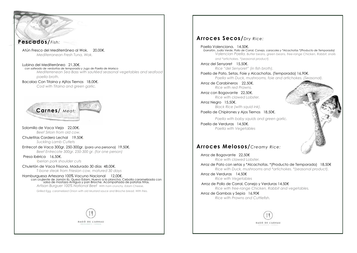

### **Arroces Secos/***Dry Rice:*

Paella Valenciana. 14,50€. *Garrafón, Judía Verde, Pollo de Corral, Conejo, caracoles y \*Alcachofas \*(Producto de Temporada)*



*and \*artichokes. \*(seasonal product).* 

Arroz del Senyoret 15,50€. *Rice "del Senyoret" (in fish broth).*

Paella de Pato, Setas, Foie y Alcachofas. (Temporada) 16,90€. *Paella with Duck, mushrooms, foie and artichokes. (Seasonal).*

Arroz de Carabineros 22,50€. *Rice with red Prawns.*

Arroz con Bogavante 22,50€. *Rice with clawed Lobster.*

Arroz Negro 15,50€. *Black Rice (with squid ink).* 

Paella de Chipirones y Ajos Tiernos 18,50€.

*Paella with baby squids and green garlic.*

Paella de Verduras 14,50€. *Paella with Vegetables* 

# **Arroces Melosos/** *Creamy Rice:*

Arroz de Bogavante 22,50€ *Rice with clawed Lobster.* Arroz de Pato con setas y \*Alcachofas. \*(Producto de Temporada) 18,50€ *Rice with Duck, mushrooms and \*artichokes. \*(seasonal product).*

Arroz de Verduras 14,50€ *Rice with Vegetables*

 Arroz de Pollo de Corral, Conejo y Verduras 14,50€ *Rice with free-range Chicken, Rabbit and vegetables.* 

Arroz de Gambas y Sepia 16,90€ *Rice with Prawns and Cuttlefish.*